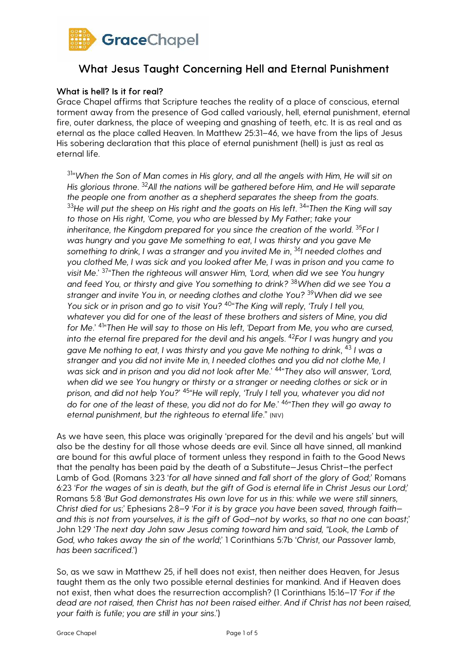

## What is hell? Is it for real?

Grace Chapel affirms that Scripture teaches the reality of a place of conscious, eternal torment away from the presence of God called variously, hell, eternal punishment, eternal fire, outer darkness, the place of weeping and gnashing of teeth, etc. It is as real and as eternal as the place called Heaven. In Matthew 25:31–46, we have from the lips of Jesus His sobering declaration that this place of eternal punishment (hell) is just as real as eternal life.

<sup>31</sup>"When the Son of Man comes in His glory, and all the angels with Him, He will sit on *His glorious throne*. <sup>32</sup>*All the nations will be gathered before Him, and He will separate the people one from another as a shepherd separates the sheep from the goats*. <sup>33</sup>He will put the sheep on His right and the goats on His left. <sup>34</sup>"Then the King will say *to those on His right, 'Come, you who are blessed by My Father; take your inheritance, the Kingdom prepared for you since the creation of the world*. <sup>35</sup>*For I was hungry and you gave Me something to eat, I was thirsty and you gave Me something to drink, I was a stranger and you invited Me in*, <sup>36</sup>*I needed clothes and you clothed Me, I was sick and you looked after Me, I was in prison and you came to visit Me*.' <sup>37</sup> "*Then the righteous will answer Him, 'Lord, when did we see You hungry and feed You, or thirsty and give You something to drink?* 38*When did we see You a stranger and invite You in, or needing clothes and clothe You?* 39*When did we see You sick or in prison and go to visit You?* <sup>40</sup> "*The King will reply, 'Truly I tell you, whatever you did for one of the least of these brothers and sisters of Mine, you did for Me*.' <sup>41</sup> "*Then He will say to those on His left, 'Depart from Me, you who are cursed, into the eternal fire prepared for the devil and his angels*. <sup>42</sup>*For I was hungry and you gave Me nothing to eat, I was thirsty and you gave Me nothing to drink*, <sup>43</sup> *I was a stranger and you did not invite Me in, I needed clothes and you did not clothe Me, I was sick and in prison and you did not look after Me*.' <sup>44</sup> "*They also will answer, 'Lord,*  when did we see You hungry or thirsty or a stranger or needing clothes or sick or in *prison, and did not help You?*' <sup>45</sup> "*He will reply, 'Truly I tell you, whatever you did not do for one of the least of these, you did not do for Me*.' <sup>46</sup> "*Then they will go away to eternal punishment, but the righteous to eternal life*." (NIV)

As we have seen, this place was originally 'prepared for the devil and his angels' but will also be the destiny for all those whose deeds are evil. Since all have sinned, all mankind are bound for this awful place of torment unless they respond in faith to the Good News that the penalty has been paid by the death of a Substitute—Jesus Christ—the perfect Lamb of God. (Romans 3:23 '*for all have sinned and fall short of the glory of God*;' Romans 6:23 '*For the wages of sin is death, but the gift of God is eternal life in Christ Jesus our Lord*;' Romans 5:8 '*But God demonstrates His own love for us in this: while we were still sinners, Christ died for us*;' Ephesians 2:8–9 '*For it is by grace you have been saved, through faith and this is not from yourselves, it is the gift of God—not by works, so that no one can boast*;' John 1:29 '*The next day John saw Jesus coming toward him and said, "Look, the Lamb of God, who takes away the sin of the world*;' 1 Corinthians 5:7b '*Christ, our Passover lamb, has been sacrificed*.')

So, as we saw in Matthew 25, if hell does not exist, then neither does Heaven, for Jesus taught them as the only two possible eternal destinies for mankind. And if Heaven does not exist, then what does the resurrection accomplish? (1 Corinthians 15:16–17 '*For if the dead are not raised, then Christ has not been raised either. And if Christ has not been raised, your faith is futile; you are still in your sins*.')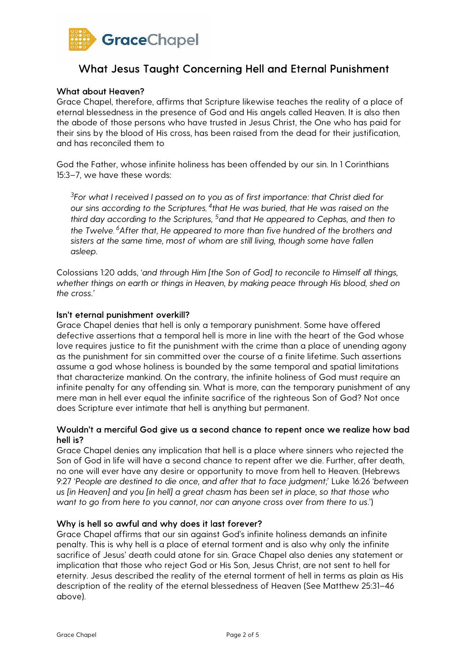

### What about Heaven?

Grace Chapel, therefore, affirms that Scripture likewise teaches the reality of a place of eternal blessedness in the presence of God and His angels called Heaven. It is also then the abode of those persons who have trusted in Jesus Christ, the One who has paid for their sins by the blood of His cross, has been raised from the dead for their justification, and has reconciled them to

God the Father, whose infinite holiness has been offended by our sin. In 1 Corinthians 15:3–7, we have these words:

3 *For what I received I passed on to you as of first importance: that Christ died for* our sins according to the Scriptures, <sup>4</sup>that He was buried, that He was raised on the *third day according to the Scriptures,* 5*and that He appeared to Cephas, and then to the Twelve*. <sup>6</sup>*After that, He appeared to more than five hundred of the brothers and sisters at the same time, most of whom are still living, though some have fallen asleep.* 

Colossians 1:20 adds, '*and through Him [the Son of God] to reconcile to Himself all things, whether things on earth or things in Heaven, by making peace through His blood, shed on the cross.'* 

#### Isn't eternal punishment overkill?

Grace Chapel denies that hell is only a temporary punishment. Some have offered defective assertions that a temporal hell is more in line with the heart of the God whose love requires justice to fit the punishment with the crime than a place of unending agony as the punishment for sin committed over the course of a finite lifetime. Such assertions assume a god whose holiness is bounded by the same temporal and spatial limitations that characterize mankind. On the contrary, the infinite holiness of God must require an infinite penalty for any offending sin. What is more, can the temporary punishment of any mere man in hell ever equal the infinite sacrifice of the righteous Son of God? Not once does Scripture ever intimate that hell is anything but permanent.

### Wouldn't a merciful God give us a second chance to repent once we realize how bad hell is?

Grace Chapel denies any implication that hell is a place where sinners who rejected the Son of God in life will have a second chance to repent after we die. Further, after death, no one will ever have any desire or opportunity to move from hell to Heaven. (Hebrews 9:27 '*People are destined to die once, and after that to face judgment;*' Luke 16:26 '*between us [in Heaven] and you [in hell] a great chasm has been set in place, so that those who want to go from here to you cannot, nor can anyone cross over from there to us*.')

#### Why is hell so awful and why does it last forever?

Grace Chapel affirms that our sin against God's infinite holiness demands an infinite penalty. This is why hell is a place of eternal torment and is also why only the infinite sacrifice of Jesus' death could atone for sin. Grace Chapel also denies any statement or implication that those who reject God or His Son, Jesus Christ, are not sent to hell for eternity. Jesus described the reality of the eternal torment of hell in terms as plain as His description of the reality of the eternal blessedness of Heaven (See Matthew 25:31–46 above).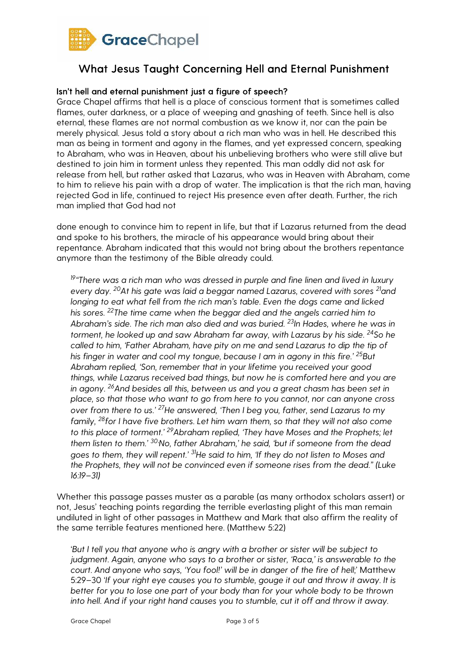

### Isn't hell and eternal punishment just a figure of speech?

Grace Chapel affirms that hell is a place of conscious torment that is sometimes called flames, outer darkness, or a place of weeping and gnashing of teeth. Since hell is also eternal, these flames are not normal combustion as we know it, nor can the pain be merely physical. Jesus told a story about a rich man who was in hell. He described this man as being in torment and agony in the flames, and yet expressed concern, speaking to Abraham, who was in Heaven, about his unbelieving brothers who were still alive but destined to join him in torment unless they repented. This man oddly did not ask for release from hell, but rather asked that Lazarus, who was in Heaven with Abraham, come to him to relieve his pain with a drop of water. The implication is that the rich man, having rejected God in life, continued to reject His presence even after death. Further, the rich man implied that God had not

done enough to convince him to repent in life, but that if Lazarus returned from the dead and spoke to his brothers, the miracle of his appearance would bring about their repentance. Abraham indicated that this would not bring about the brothers repentance anymore than the testimony of the Bible already could.

<sup>19</sup>*"There was a rich man who was dressed in purple and fine linen and lived in luxury every day.* 20*At his gate was laid a beggar named Lazarus, covered with sores* 21*and longing to eat what fell from the rich man's table. Even the dogs came and licked his sores.* 22*The time came when the beggar died and the angels carried him to Abraham's side. The rich man also died and was buried.* 23*In Hades, where he was in torment, he looked up and saw Abraham far away, with Lazarus by his side.* <sup>24</sup>*So he called to him, 'Father Abraham, have pity on me and send Lazarus to dip the tip of his finger in water and cool my tongue, because I am in agony in this fire.'* 25*But Abraham replied, 'Son, remember that in your lifetime you received your good things, while Lazarus received bad things, but now he is comforted here and you are in agony.* 26*And besides all this, between us and you a great chasm has been set in place, so that those who want to go from here to you cannot, nor can anyone cross over from there to us.'* 27*He answered, 'Then I beg you, father, send Lazarus to my family,* 28*for I have five brothers. Let him warn them, so that they will not also come to this place of torment.'* 29*Abraham replied, 'They have Moses and the Prophets; let them listen to them.'* 30'*No, father Abraham,' he said, 'but if someone from the dead goes to them, they will repent.'* 31*He said to him, 'If they do not listen to Moses and the Prophets, they will not be convinced even if someone rises from the dead." (Luke 16:19–31)* 

Whether this passage passes muster as a parable (as many orthodox scholars assert) or not, Jesus' teaching points regarding the terrible everlasting plight of this man remain undiluted in light of other passages in Matthew and Mark that also affirm the reality of the same terrible features mentioned here. (Matthew 5:22)

'*But I tell you that anyone who is angry with a brother or sister will be subject to judgment. Again, anyone who says to a brother or sister, 'Raca,' is answerable to the court. And anyone who says, 'You fool!' will be in danger of the fire of hell*;' Matthew 5:29–30 '*If your right eye causes you to stumble, gouge it out and throw it away. It is better for you to lose one part of your body than for your whole body to be thrown into hell. And if your right hand causes you to stumble, cut it off and throw it away.*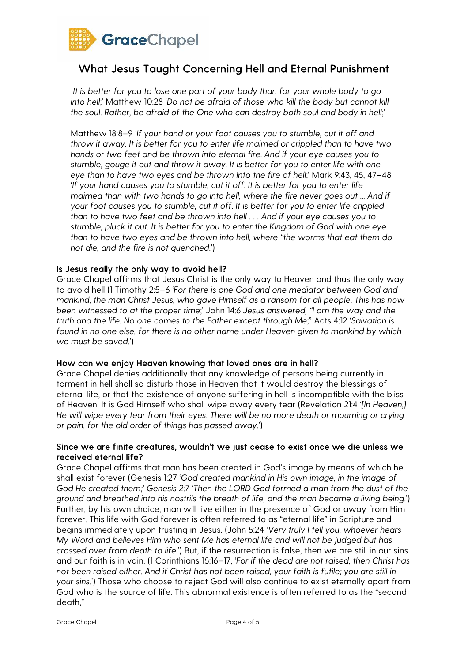

*It is better for you to lose one part of your body than for your whole body to go into hell*;' Matthew 10:28 '*Do not be afraid of those who kill the body but cannot kill the soul. Rather, be afraid of the One who can destroy both soul and body in hell*;'

Matthew 18:8–9 '*If your hand or your foot causes you to stumble, cut it off and throw it away. It is better for you to enter life maimed or crippled than to have two hands or two feet and be thrown into eternal fire. And if your eye causes you to stumble, gouge it out and throw it away. It is better for you to enter life with one eye than to have two eyes and be thrown into the fire of hell*;' Mark 9:43, 45, 47–48 '*If your hand causes you to stumble, cut it off. It is better for you to enter life maimed than with two hands to go into hell, where the fire never goes out ... And if your foot causes you to stumble, cut it off. It is better for you to enter life crippled than to have two feet and be thrown into hell . . . And if your eye causes you to stumble, pluck it out. It is better for you to enter the Kingdom of God with one eye than to have two eyes and be thrown into hell, where "the worms that eat them do not die, and the fire is not quenched.*')

### Is Jesus really the only way to avoid hell?

Grace Chapel affirms that Jesus Christ is the only way to Heaven and thus the only way to avoid hell (1 Timothy 2:5–6 '*For there is one God and one mediator between God and mankind, the man Christ Jesus, who gave Himself as a ransom for all people. This has now been witnessed to at the proper time*;' John 14:6 *Jesus answered, "I am the way and the truth and the life. No one comes to the Father except through Me*;" Acts 4:12 '*Salvation is found in no one else, for there is no other name under Heaven given to mankind by which we must be saved*.')

#### How can we enjoy Heaven knowing that loved ones are in hell?

Grace Chapel denies additionally that any knowledge of persons being currently in torment in hell shall so disturb those in Heaven that it would destroy the blessings of eternal life, or that the existence of anyone suffering in hell is incompatible with the bliss of Heaven. It is God Himself who shall wipe away every tear (Revelation 21:4 '*[In Heaven,] He will wipe every tear from their eyes. There will be no more death or mourning or crying or pain, for the old order of things has passed away*.')

### Since we are finite creatures, wouldn't we just cease to exist once we die unless we received eternal life?

Grace Chapel affirms that man has been created in God's image by means of which he shall exist forever (Genesis 1:27 '*God created mankind in His own image, in the image of God He created them;' Genesis 2:7 'Then the LORD God formed a man from the dust of the ground and breathed into his nostrils the breath of life, and the man became a living being*.') Further, by his own choice, man will live either in the presence of God or away from Him forever. This life with God forever is often referred to as "eternal life" in Scripture and begins immediately upon trusting in Jesus. (John 5:24 '*Very truly I tell you, whoever hears My Word and believes Him who sent Me has eternal life and will not be judged but has crossed over from death to life*.') But, if the resurrection is false, then we are still in our sins and our faith is in vain. (1 Corinthians 15:16–17, '*For if the dead are not raised, then Christ has not been raised either. And if Christ has not been raised, your faith is futile; you are still in your sins.*') Those who choose to reject God will also continue to exist eternally apart from God who is the source of life. This abnormal existence is often referred to as the "second death,"